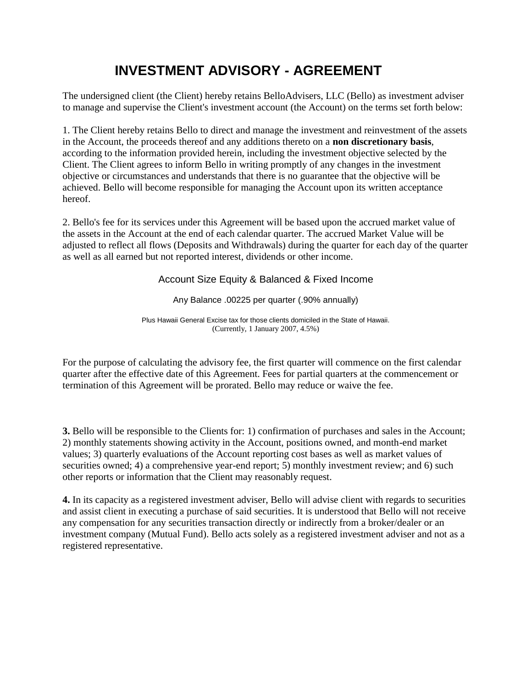## **INVESTMENT ADVISORY - AGREEMENT**

The undersigned client (the Client) hereby retains BelloAdvisers, LLC (Bello) as investment adviser to manage and supervise the Client's investment account (the Account) on the terms set forth below:

1. The Client hereby retains Bello to direct and manage the investment and reinvestment of the assets in the Account, the proceeds thereof and any additions thereto on a **non discretionary basis**, according to the information provided herein, including the investment objective selected by the Client. The Client agrees to inform Bello in writing promptly of any changes in the investment objective or circumstances and understands that there is no guarantee that the objective will be achieved. Bello will become responsible for managing the Account upon its written acceptance hereof.

2. Bello's fee for its services under this Agreement will be based upon the accrued market value of the assets in the Account at the end of each calendar quarter. The accrued Market Value will be adjusted to reflect all flows (Deposits and Withdrawals) during the quarter for each day of the quarter as well as all earned but not reported interest, dividends or other income.

Account Size Equity & Balanced & Fixed Income

Any Balance .00225 per quarter (.90% annually)

Plus Hawaii General Excise tax for those clients domiciled in the State of Hawaii. (Currently, 1 January 2007, 4.5%)

For the purpose of calculating the advisory fee, the first quarter will commence on the first calendar quarter after the effective date of this Agreement. Fees for partial quarters at the commencement or termination of this Agreement will be prorated. Bello may reduce or waive the fee.

**3.** Bello will be responsible to the Clients for: 1) confirmation of purchases and sales in the Account; 2) monthly statements showing activity in the Account, positions owned, and month-end market values; 3) quarterly evaluations of the Account reporting cost bases as well as market values of securities owned; 4) a comprehensive year-end report; 5) monthly investment review; and 6) such other reports or information that the Client may reasonably request.

**4.** In its capacity as a registered investment adviser, Bello will advise client with regards to securities and assist client in executing a purchase of said securities. It is understood that Bello will not receive any compensation for any securities transaction directly or indirectly from a broker/dealer or an investment company (Mutual Fund). Bello acts solely as a registered investment adviser and not as a registered representative.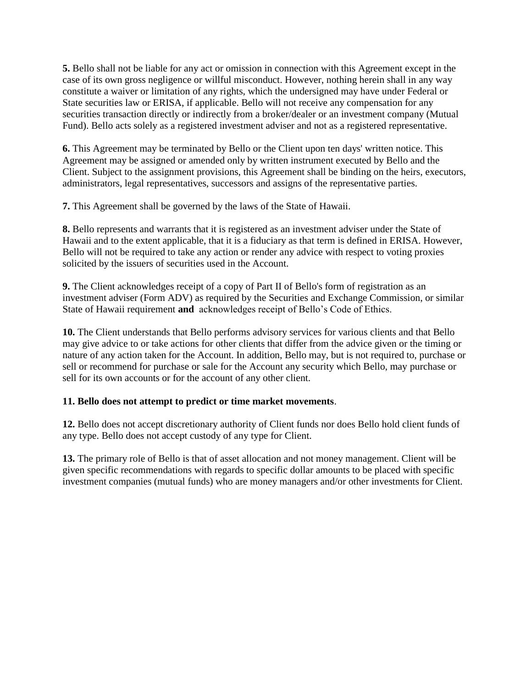**5.** Bello shall not be liable for any act or omission in connection with this Agreement except in the case of its own gross negligence or willful misconduct. However, nothing herein shall in any way constitute a waiver or limitation of any rights, which the undersigned may have under Federal or State securities law or ERISA, if applicable. Bello will not receive any compensation for any securities transaction directly or indirectly from a broker/dealer or an investment company (Mutual Fund). Bello acts solely as a registered investment adviser and not as a registered representative.

**6.** This Agreement may be terminated by Bello or the Client upon ten days' written notice. This Agreement may be assigned or amended only by written instrument executed by Bello and the Client. Subject to the assignment provisions, this Agreement shall be binding on the heirs, executors, administrators, legal representatives, successors and assigns of the representative parties.

**7.** This Agreement shall be governed by the laws of the State of Hawaii.

**8.** Bello represents and warrants that it is registered as an investment adviser under the State of Hawaii and to the extent applicable, that it is a fiduciary as that term is defined in ERISA. However, Bello will not be required to take any action or render any advice with respect to voting proxies solicited by the issuers of securities used in the Account.

**9.** The Client acknowledges receipt of a copy of Part II of Bello's form of registration as an investment adviser (Form ADV) as required by the Securities and Exchange Commission, or similar State of Hawaii requirement **and** acknowledges receipt of Bello's Code of Ethics.

**10.** The Client understands that Bello performs advisory services for various clients and that Bello may give advice to or take actions for other clients that differ from the advice given or the timing or nature of any action taken for the Account. In addition, Bello may, but is not required to, purchase or sell or recommend for purchase or sale for the Account any security which Bello, may purchase or sell for its own accounts or for the account of any other client.

## **11. Bello does not attempt to predict or time market movements**.

**12.** Bello does not accept discretionary authority of Client funds nor does Bello hold client funds of any type. Bello does not accept custody of any type for Client.

**13.** The primary role of Bello is that of asset allocation and not money management. Client will be given specific recommendations with regards to specific dollar amounts to be placed with specific investment companies (mutual funds) who are money managers and/or other investments for Client.